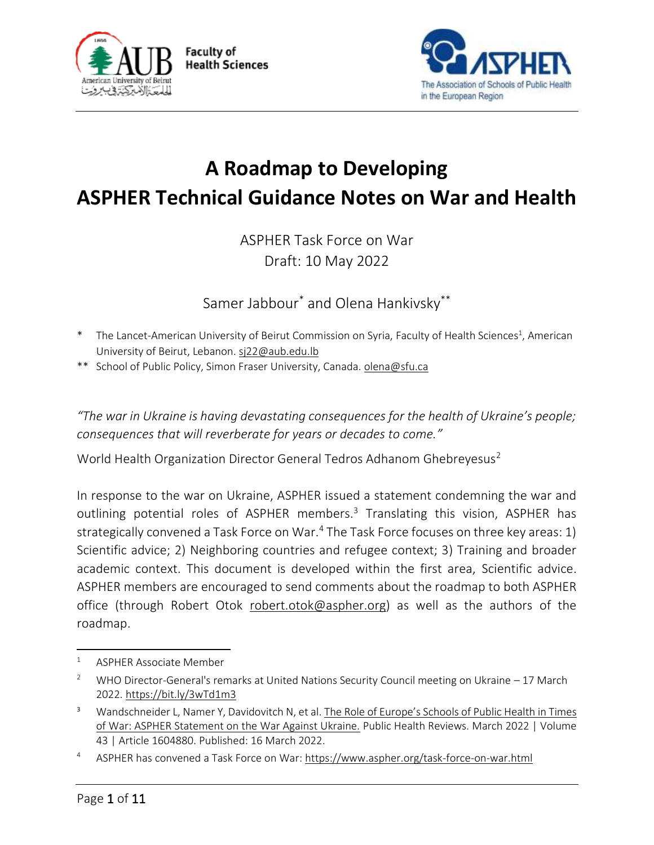



# **A Roadmap to Developing ASPHER Technical Guidance Notes on War and Health**

ASPHER Task Force on War Draft: 10 May 2022

Samer Jabbour\* and Olena Hankivsky\*\*

- \* The Lancet-American University of Beirut Commission on Syria, Faculty of Health Sciences<sup>1</sup>, American University of Beirut, Lebanon[. sj22@aub.edu.lb](mailto:sj22@aub.edu.lb)
- \*\* School of Public Policy, Simon Fraser University, Canada. [olena@sfu.ca](mailto:olena@sfu.ca)

*"The war in Ukraine is having devastating consequences for the health of Ukraine's people; consequences that will reverberate for years or decades to come."*

World Health Organization Director General Tedros Adhanom Ghebreyesus<sup>2</sup>

In response to the war on Ukraine, ASPHER issued a statement condemning the war and outlining potential roles of ASPHER members.<sup>3</sup> Translating this vision, ASPHER has strategically convened a Task Force on War.<sup>4</sup> The Task Force focuses on three key areas: 1) Scientific advice; 2) Neighboring countries and refugee context; 3) Training and broader academic context. This document is developed within the first area, Scientific advice. ASPHER members are encouraged to send comments about the roadmap to both ASPHER office (through Robert Otok [robert.otok@aspher.org\)](mailto:robert.otok@aspher.org) as well as the authors of the roadmap.

<sup>1</sup> ASPHER Associate Member

<sup>2</sup> WHO Director-General's remarks at United Nations Security Council meeting on Ukraine – 17 March 2022[. https://bit.ly/3wTd1m3](https://bit.ly/3wTd1m3)

<sup>&</sup>lt;sup>3</sup> Wandschneider L, Namer Y, Davidovitch N, et al. The Role of Europe's Schools of Public Health in Times [of War: ASPHER Statement on the War Against Ukraine.](https://www.ssph-journal.org/articles/10.3389/phrs.2022.1604880/full) Public Health Reviews. March 2022 | Volume 43 | Article 1604880. Published: 16 March 2022.

<sup>4</sup> ASPHER has convened a Task Force on War[: https://www.aspher.org/task-force-on-war.html](https://www.aspher.org/task-force-on-war.html)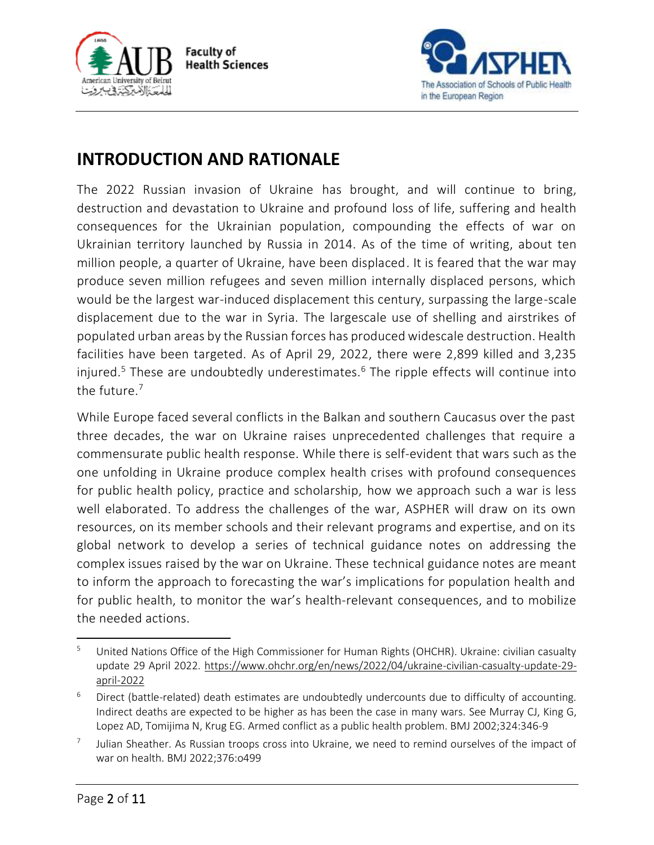



# **INTRODUCTION AND RATIONALE**

The 2022 Russian invasion of Ukraine has brought, and will continue to bring, destruction and devastation to Ukraine and profound loss of life, suffering and health consequences for the Ukrainian population, compounding the effects of war on Ukrainian territory launched by Russia in 2014. As of the time of writing, about ten million people, a quarter of Ukraine, have been displaced. It is feared that the war may produce seven million refugees and seven million internally displaced persons, which would be the largest war-induced displacement this century, surpassing the large-scale displacement due to the war in Syria. The largescale use of shelling and airstrikes of populated urban areas by the Russian forces has produced widescale destruction. Health facilities have been targeted. As of April 29, 2022, there were 2,899 killed and 3,235 injured.<sup>5</sup> These are undoubtedly underestimates.<sup>6</sup> The ripple effects will continue into the future.<sup>7</sup>

While Europe faced several conflicts in the Balkan and southern Caucasus over the past three decades, the war on Ukraine raises unprecedented challenges that require a commensurate public health response. While there is self-evident that wars such as the one unfolding in Ukraine produce complex health crises with profound consequences for public health policy, practice and scholarship, how we approach such a war is less well elaborated. To address the challenges of the war, ASPHER will draw on its own resources, on its member schools and their relevant programs and expertise, and on its global network to develop a series of technical guidance notes on addressing the complex issues raised by the war on Ukraine. These technical guidance notes are meant to inform the approach to forecasting the war's implications for population health and for public health, to monitor the war's health-relevant consequences, and to mobilize the needed actions.

<sup>&</sup>lt;sup>5</sup> United Nations Office of the High Commissioner for Human Rights (OHCHR). Ukraine: civilian casualty update 29 April 2022. [https://www.ohchr.org/en/news/2022/04/ukraine-civilian-casualty-update-29](https://www.ohchr.org/en/news/2022/04/ukraine-civilian-casualty-update-29-april-2022) [april-2022](https://www.ohchr.org/en/news/2022/04/ukraine-civilian-casualty-update-29-april-2022) 

 $6$  Direct (battle-related) death estimates are undoubtedly undercounts due to difficulty of accounting. Indirect deaths are expected to be higher as has been the case in many wars. See Murray CJ, King G, Lopez AD, Tomijima N, Krug EG. Armed conflict as a public health problem. BMJ 2002;324:346-9

<sup>7</sup> Julian Sheather. As Russian troops cross into Ukraine, we need to remind ourselves of the impact of war on health. BMJ 2022;376:o499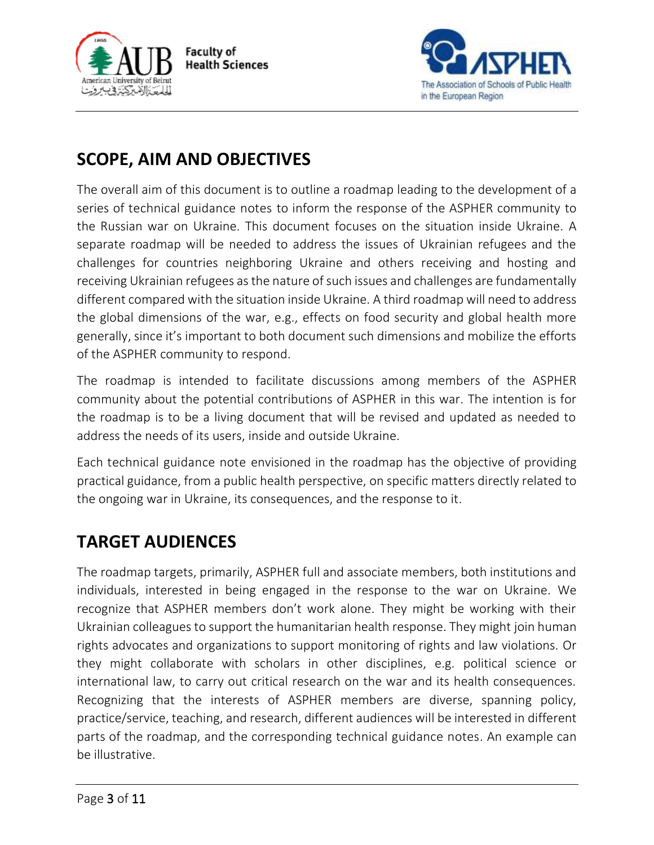



# **SCOPE, AIM AND OBJECTIVES**

The overall aim of this document is to outline a roadmap leading to the development of a series of technical guidance notes to inform the response of the ASPHER community to the Russian war on Ukraine. This document focuses on the situation inside Ukraine. A separate roadmap will be needed to address the issues of Ukrainian refugees and the challenges for countries neighboring Ukraine and others receiving and hosting and receiving Ukrainian refugees as the nature of such issues and challenges are fundamentally different compared with the situation inside Ukraine. A third roadmap will need to address the global dimensions of the war, e.g., effects on food security and global health more generally, since it's important to both document such dimensions and mobilize the efforts of the ASPHER community to respond.

The roadmap is intended to facilitate discussions among members of the ASPHER community about the potential contributions of ASPHER in this war. The intention is for the roadmap is to be a living document that will be revised and updated as needed to address the needs of its users, inside and outside Ukraine.

Each technical guidance note envisioned in the roadmap has the objective of providing practical guidance, from a public health perspective, on specific matters directly related to the ongoing war in Ukraine, its consequences, and the response to it.

# **TARGET AUDIENCES**

The roadmap targets, primarily, ASPHER full and associate members, both institutions and individuals, interested in being engaged in the response to the war on Ukraine. We recognize that ASPHER members don't work alone. They might be working with their Ukrainian colleagues to support the humanitarian health response. They might join human rights advocates and organizations to support monitoring of rights and law violations. Or they might collaborate with scholars in other disciplines, e.g. political science or international law, to carry out critical research on the war and its health consequences. Recognizing that the interests of ASPHER members are diverse, spanning policy, practice/service, teaching, and research, different audiences will be interested in different parts of the roadmap, and the corresponding technical guidance notes. An example can be illustrative.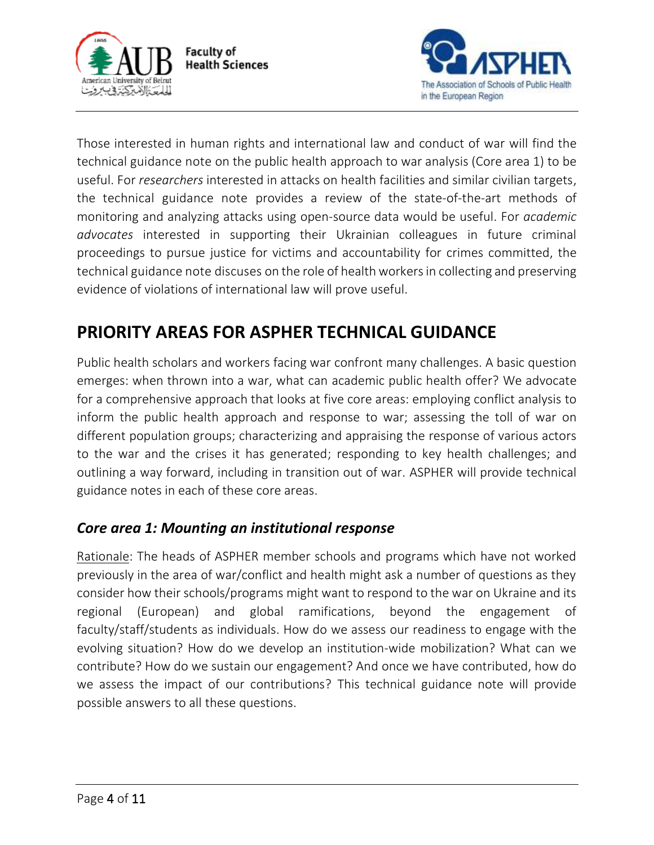



Those interested in human rights and international law and conduct of war will find the technical guidance note on the public health approach to war analysis (Core area 1) to be useful. For *researchers* interested in attacks on health facilities and similar civilian targets, the technical guidance note provides a review of the state-of-the-art methods of monitoring and analyzing attacks using open-source data would be useful. For *academic advocates* interested in supporting their Ukrainian colleagues in future criminal proceedings to pursue justice for victims and accountability for crimes committed, the technical guidance note discuses on the role of health workers in collecting and preserving evidence of violations of international law will prove useful.

# **PRIORITY AREAS FOR ASPHER TECHNICAL GUIDANCE**

Public health scholars and workers facing war confront many challenges. A basic question emerges: when thrown into a war, what can academic public health offer? We advocate for a comprehensive approach that looks at five core areas: employing conflict analysis to inform the public health approach and response to war; assessing the toll of war on different population groups; characterizing and appraising the response of various actors to the war and the crises it has generated; responding to key health challenges; and outlining a way forward, including in transition out of war. ASPHER will provide technical guidance notes in each of these core areas.

## *Core area 1: Mounting an institutional response*

Rationale: The heads of ASPHER member schools and programs which have not worked previously in the area of war/conflict and health might ask a number of questions as they consider how their schools/programs might want to respond to the war on Ukraine and its regional (European) and global ramifications, beyond the engagement of faculty/staff/students as individuals. How do we assess our readiness to engage with the evolving situation? How do we develop an institution-wide mobilization? What can we contribute? How do we sustain our engagement? And once we have contributed, how do we assess the impact of our contributions? This technical guidance note will provide possible answers to all these questions.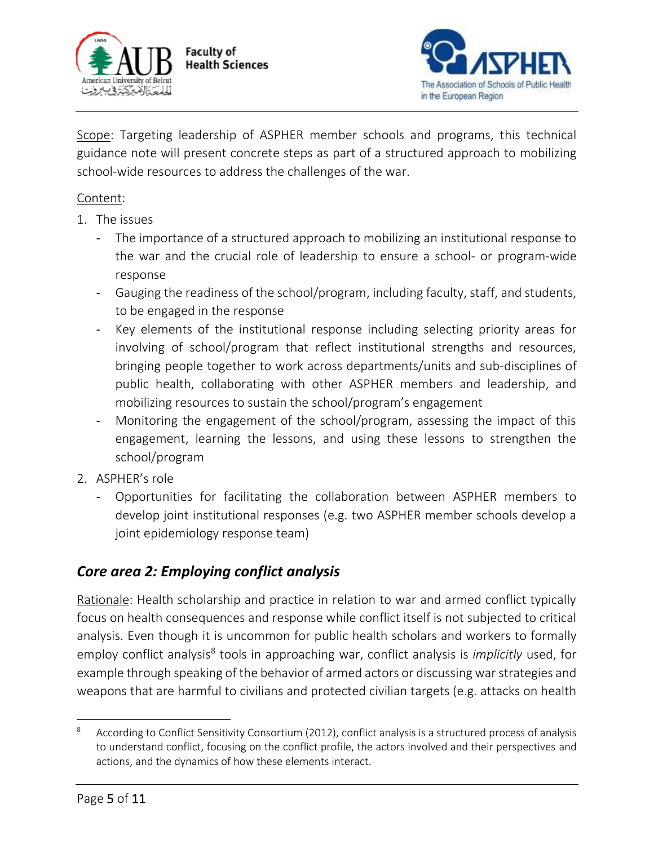



Scope: Targeting leadership of ASPHER member schools and programs, this technical guidance note will present concrete steps as part of a structured approach to mobilizing school-wide resources to address the challenges of the war.

#### Content:

- 1. The issues
	- The importance of a structured approach to mobilizing an institutional response to the war and the crucial role of leadership to ensure a school- or program-wide response
	- Gauging the readiness of the school/program, including faculty, staff, and students, to be engaged in the response
	- Key elements of the institutional response including selecting priority areas for involving of school/program that reflect institutional strengths and resources, bringing people together to work across departments/units and sub-disciplines of public health, collaborating with other ASPHER members and leadership, and mobilizing resources to sustain the school/program's engagement
	- Monitoring the engagement of the school/program, assessing the impact of this engagement, learning the lessons, and using these lessons to strengthen the school/program
- 2. ASPHER's role
	- Opportunities for facilitating the collaboration between ASPHER members to develop joint institutional responses (e.g. two ASPHER member schools develop a joint epidemiology response team)

## *Core area 2: Employing conflict analysis*

Rationale: Health scholarship and practice in relation to war and armed conflict typically focus on health consequences and response while conflict itself is not subjected to critical analysis. Even though it is uncommon for public health scholars and workers to formally employ conflict analysis<sup>8</sup> tools in approaching war, conflict analysis is *implicitly* used, for example through speaking of the behavior of armed actors or discussing war strategies and weapons that are harmful to civilians and protected civilian targets (e.g. attacks on health

<sup>8</sup> According to Conflict Sensitivity Consortium (2012), conflict analysis is a structured process of analysis to understand conflict, focusing on the conflict profile, the actors involved and their perspectives and actions, and the dynamics of how these elements interact.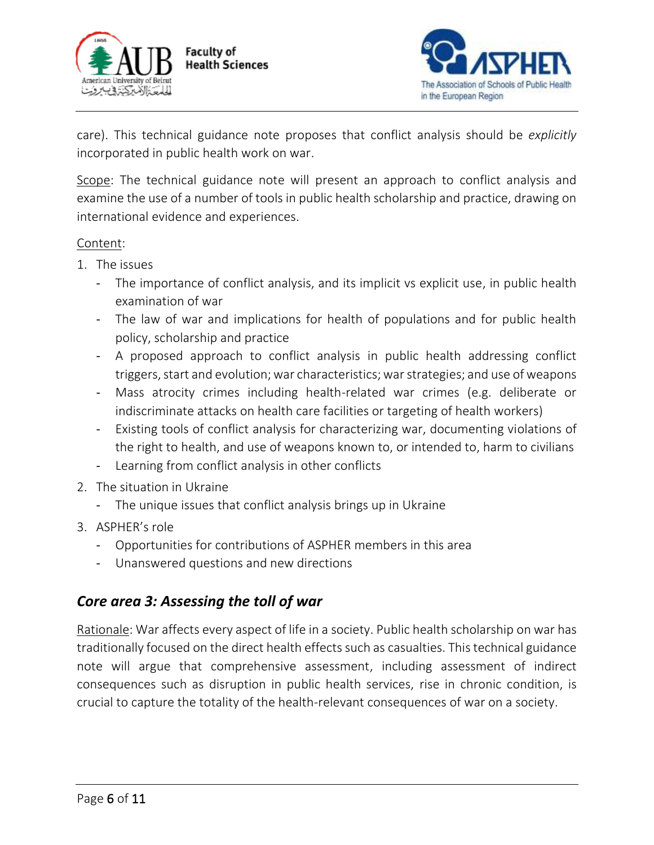



care). This technical guidance note proposes that conflict analysis should be *explicitly* incorporated in public health work on war.

Scope: The technical guidance note will present an approach to conflict analysis and examine the use of a number of tools in public health scholarship and practice, drawing on international evidence and experiences.

#### Content:

- 1. The issues
	- The importance of conflict analysis, and its implicit vs explicit use, in public health examination of war
	- The law of war and implications for health of populations and for public health policy, scholarship and practice
	- A proposed approach to conflict analysis in public health addressing conflict triggers, start and evolution; war characteristics; war strategies; and use of weapons
	- Mass atrocity crimes including health-related war crimes (e.g. deliberate or indiscriminate attacks on health care facilities or targeting of health workers)
	- Existing tools of conflict analysis for characterizing war, documenting violations of the right to health, and use of weapons known to, or intended to, harm to civilians
	- Learning from conflict analysis in other conflicts
- 2. The situation in Ukraine
	- The unique issues that conflict analysis brings up in Ukraine
- 3. ASPHER's role
	- Opportunities for contributions of ASPHER members in this area
	- Unanswered questions and new directions

### *Core area 3: Assessing the toll of war*

Rationale: War affects every aspect of life in a society. Public health scholarship on war has traditionally focused on the direct health effects such as casualties. This technical guidance note will argue that comprehensive assessment, including assessment of indirect consequences such as disruption in public health services, rise in chronic condition, is crucial to capture the totality of the health-relevant consequences of war on a society.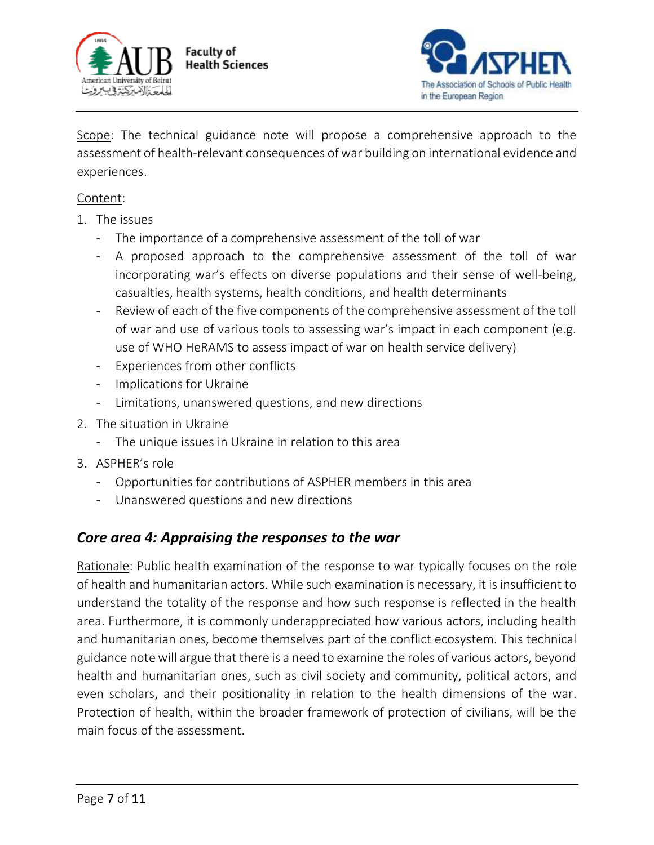



Scope: The technical guidance note will propose a comprehensive approach to the assessment of health-relevant consequences of war building on international evidence and experiences.

#### Content:

- 1. The issues
	- The importance of a comprehensive assessment of the toll of war
	- A proposed approach to the comprehensive assessment of the toll of war incorporating war's effects on diverse populations and their sense of well-being, casualties, health systems, health conditions, and health determinants
	- Review of each of the five components of the comprehensive assessment of the toll of war and use of various tools to assessing war's impact in each component (e.g. use of WHO HeRAMS to assess impact of war on health service delivery)
	- Experiences from other conflicts
	- Implications for Ukraine
	- Limitations, unanswered questions, and new directions
- 2. The situation in Ukraine
	- The unique issues in Ukraine in relation to this area
- 3. ASPHER's role
	- Opportunities for contributions of ASPHER members in this area
	- Unanswered questions and new directions

## *Core area 4: Appraising the responses to the war*

Rationale: Public health examination of the response to war typically focuses on the role of health and humanitarian actors. While such examination is necessary, it is insufficient to understand the totality of the response and how such response is reflected in the health area. Furthermore, it is commonly underappreciated how various actors, including health and humanitarian ones, become themselves part of the conflict ecosystem. This technical guidance note will argue that there is a need to examine the roles of various actors, beyond health and humanitarian ones, such as civil society and community, political actors, and even scholars, and their positionality in relation to the health dimensions of the war. Protection of health, within the broader framework of protection of civilians, will be the main focus of the assessment.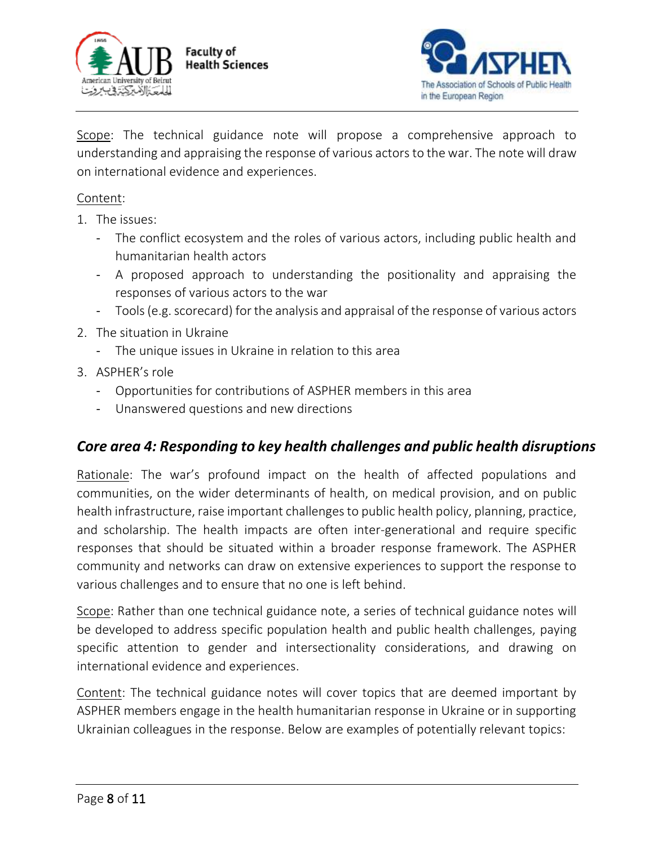



Scope: The technical guidance note will propose a comprehensive approach to understanding and appraising the response of various actors to the war. The note will draw on international evidence and experiences.

#### Content:

- 1. The issues:
	- The conflict ecosystem and the roles of various actors, including public health and humanitarian health actors
	- A proposed approach to understanding the positionality and appraising the responses of various actors to the war
	- Tools (e.g. scorecard) for the analysis and appraisal of the response of various actors
- 2. The situation in Ukraine
	- The unique issues in Ukraine in relation to this area
- 3. ASPHER's role
	- Opportunities for contributions of ASPHER members in this area
	- Unanswered questions and new directions

#### *Core area 4: Responding to key health challenges and public health disruptions*

Rationale: The war's profound impact on the health of affected populations and communities, on the wider determinants of health, on medical provision, and on public health infrastructure, raise important challenges to public health policy, planning, practice, and scholarship. The health impacts are often inter-generational and require specific responses that should be situated within a broader response framework. The ASPHER community and networks can draw on extensive experiences to support the response to various challenges and to ensure that no one is left behind.

Scope: Rather than one technical guidance note, a series of technical guidance notes will be developed to address specific population health and public health challenges, paying specific attention to gender and intersectionality considerations, and drawing on international evidence and experiences.

Content: The technical guidance notes will cover topics that are deemed important by ASPHER members engage in the health humanitarian response in Ukraine or in supporting Ukrainian colleagues in the response. Below are examples of potentially relevant topics: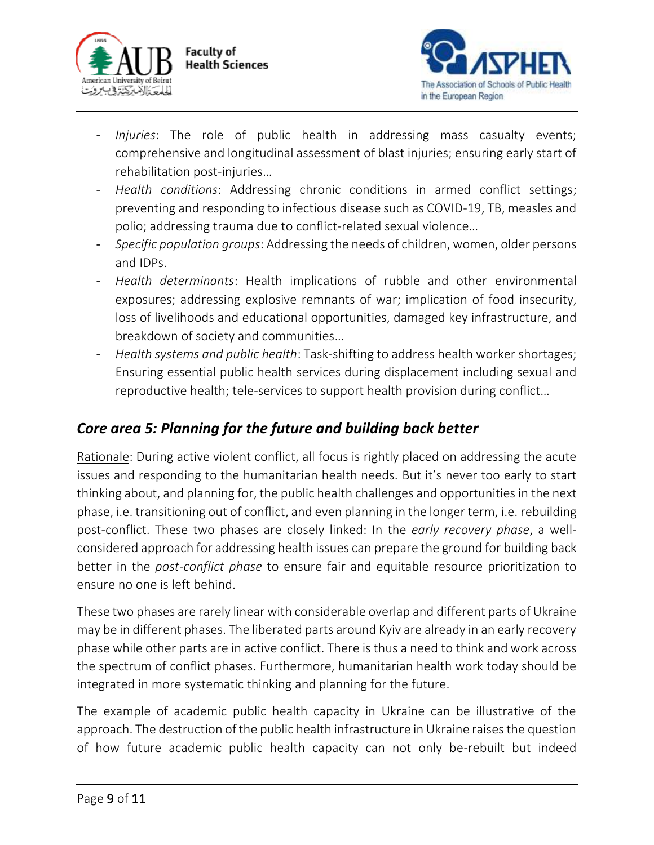



- *Injuries*: The role of public health in addressing mass casualty events; comprehensive and longitudinal assessment of blast injuries; ensuring early start of rehabilitation post-injuries…
- *Health conditions*: Addressing chronic conditions in armed conflict settings; preventing and responding to infectious disease such as COVID-19, TB, measles and polio; addressing trauma due to conflict-related sexual violence…
- *Specific population groups*: Addressing the needs of children, women, older persons and IDPs.
- *Health determinants*: Health implications of rubble and other environmental exposures; addressing explosive remnants of war; implication of food insecurity, loss of livelihoods and educational opportunities, damaged key infrastructure, and breakdown of society and communities…
- *Health systems and public health*: Task-shifting to address health worker shortages; Ensuring essential public health services during displacement including sexual and reproductive health; tele-services to support health provision during conflict…

# *Core area 5: Planning for the future and building back better*

Rationale: During active violent conflict, all focus is rightly placed on addressing the acute issues and responding to the humanitarian health needs. But it's never too early to start thinking about, and planning for, the public health challenges and opportunities in the next phase, i.e. transitioning out of conflict, and even planning in the longer term, i.e. rebuilding post-conflict. These two phases are closely linked: In the *early recovery phase*, a wellconsidered approach for addressing health issues can prepare the ground for building back better in the *post-conflict phase* to ensure fair and equitable resource prioritization to ensure no one is left behind.

These two phases are rarely linear with considerable overlap and different parts of Ukraine may be in different phases. The liberated parts around Kyiv are already in an early recovery phase while other parts are in active conflict. There is thus a need to think and work across the spectrum of conflict phases. Furthermore, humanitarian health work today should be integrated in more systematic thinking and planning for the future.

The example of academic public health capacity in Ukraine can be illustrative of the approach. The destruction of the public health infrastructure in Ukraine raises the question of how future academic public health capacity can not only be-rebuilt but indeed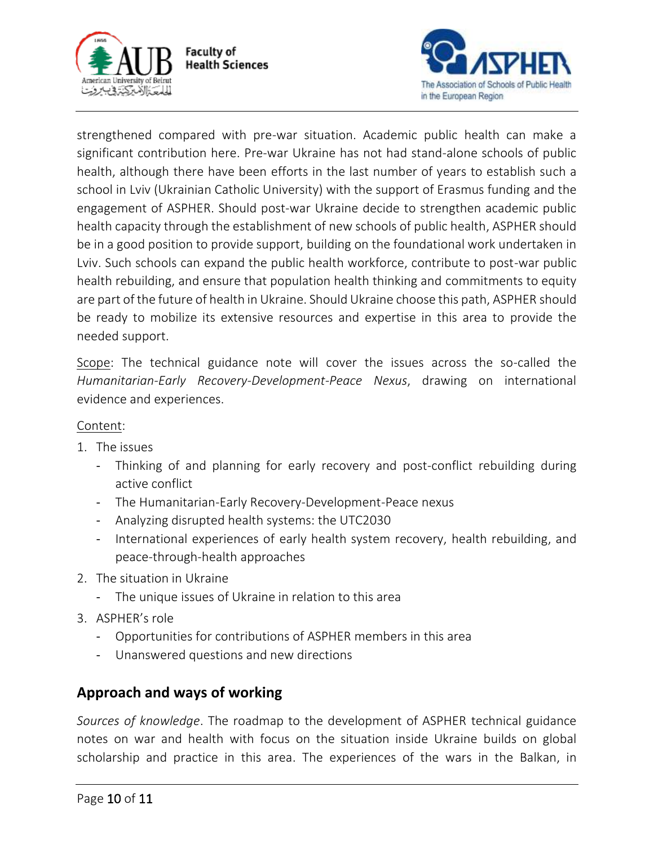



strengthened compared with pre-war situation. Academic public health can make a significant contribution here. Pre-war Ukraine has not had stand-alone schools of public health, although there have been efforts in the last number of years to establish such a school in Lviv (Ukrainian Catholic University) with the support of Erasmus funding and the engagement of ASPHER. Should post-war Ukraine decide to strengthen academic public health capacity through the establishment of new schools of public health, ASPHER should be in a good position to provide support, building on the foundational work undertaken in Lviv. Such schools can expand the public health workforce, contribute to post-war public health rebuilding, and ensure that population health thinking and commitments to equity are part of the future of health in Ukraine. Should Ukraine choose this path, ASPHER should be ready to mobilize its extensive resources and expertise in this area to provide the needed support.

Scope: The technical guidance note will cover the issues across the so-called the *Humanitarian-Early Recovery-Development-Peace Nexus*, drawing on international evidence and experiences.

#### Content:

- 1. The issues
	- Thinking of and planning for early recovery and post-conflict rebuilding during active conflict
	- The Humanitarian-Early Recovery-Development-Peace nexus
	- Analyzing disrupted health systems: the UTC2030
	- International experiences of early health system recovery, health rebuilding, and peace-through-health approaches
- 2. The situation in Ukraine
	- The unique issues of Ukraine in relation to this area
- 3. ASPHER's role
	- Opportunities for contributions of ASPHER members in this area
	- Unanswered questions and new directions

### **Approach and ways of working**

*Sources of knowledge*. The roadmap to the development of ASPHER technical guidance notes on war and health with focus on the situation inside Ukraine builds on global scholarship and practice in this area. The experiences of the wars in the Balkan, in